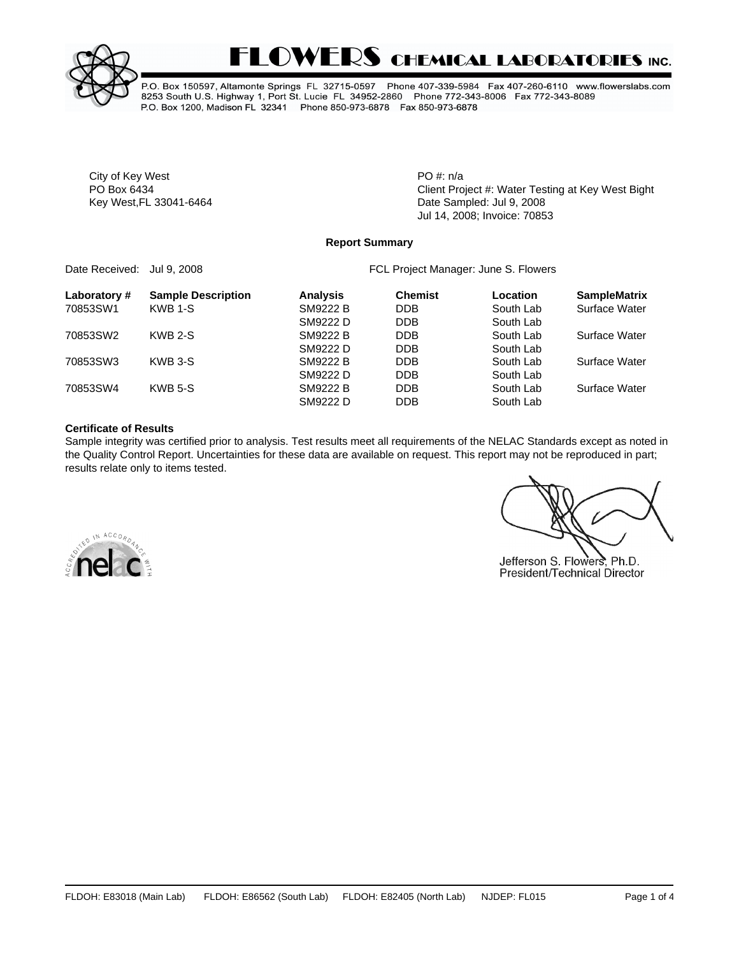

# **FLOWERS CHEMICAL LABORATORIES INC.**

P.O. Box 150597, Altamonte Springs FL 32715-0597 Phone 407-339-5984 Fax 407-260-6110 www.flowerslabs.com 8253 South U.S. Highway 1, Port St. Lucie FL 34952-2860 Phone 772-343-8006 Fax 772-343-8089 P.O. Box 1200, Madison FL 32341 Phone 850-973-6878 Fax 850-973-6878

City of Key West **PO** #: n/a

PO Box 6434 Client Project #: Water Testing at Key West Bight Key West, FL 33041-6464 **Date Sampled: Jul 9, 2008** Jul 14, 2008; Invoice: 70853

#### **Report Summary**

Date Received: Jul 9, 2008 **FCL Project Manager: June S. Flowers** 

| Laboratory# | <b>Sample Description</b> | <b>Analysis</b> | <b>Chemist</b> | Location  | <b>SampleMatrix</b> |
|-------------|---------------------------|-----------------|----------------|-----------|---------------------|
| 70853SW1    | KWB 1-S                   | SM9222 B        | <b>DDB</b>     | South Lab | Surface Water       |
|             |                           | SM9222 D        | <b>DDB</b>     | South Lab |                     |
| 70853SW2    | KWB 2-S                   | SM9222 B        | <b>DDB</b>     | South Lab | Surface Water       |
|             |                           | SM9222 D        | <b>DDB</b>     | South Lab |                     |
| 70853SW3    | KWB 3-S                   | SM9222 B        | <b>DDB</b>     | South Lab | Surface Water       |
|             |                           | SM9222 D        | <b>DDB</b>     | South Lab |                     |
| 70853SW4    | KWB 5-S                   | SM9222 B        | <b>DDB</b>     | South Lab | Surface Water       |
|             |                           | SM9222 D        | <b>DDB</b>     | South Lab |                     |

### **Certificate of Results**

Sample integrity was certified prior to analysis. Test results meet all requirements of the NELAC Standards except as noted in the Quality Control Report. Uncertainties for these data are available on request. This report may not be reproduced in part; results relate only to items tested.



Jefferson S. Flowers, Ph.D. President/Technical Director

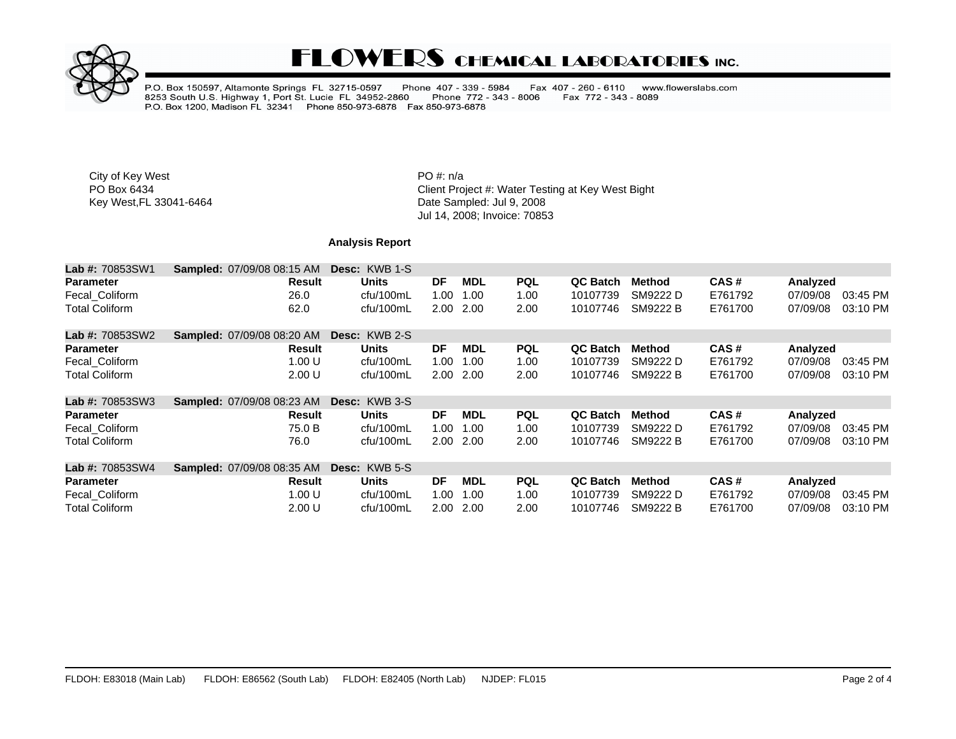

# **FLOWERS CHEMICAL LABORATORIES INC.**

P.O. Box 150597, Altamonte Springs FL 32715-0597 Phone 407 - 339 - 5984<br>8253 South U.S. Highway 1, Port St. Lucie FL 34952-2860 Phone 772 - 343<br>P.O. Box 1200, Madison FL 32341 Phone 850-973-6878 Fax 850-973-6878 Fax 407 - 260 - 6110 www.flowerslabs.com Fax 772 - 343 - 8089 Phone 772 - 343 - 8006

City of Key West **PO** #: n/a

PO Box 6434<br>
Rey West, FL 33041-6464<br>
Key West, FL 33041-6464<br>
Client Project #: Water Testing at Key West Bight<br>
Date Sampled: Jul 9, 2008 Date Sampled: Jul 9, 2008 Jul 14, 2008; Invoice: 70853

# **Analysis Report**

| Lab #: 70853SW1        | Sampled: 07/09/08 08:15 AM        |               | <b>Desc: KWB 1-S</b> |      |            |            |                 |                 |         |          |          |
|------------------------|-----------------------------------|---------------|----------------------|------|------------|------------|-----------------|-----------------|---------|----------|----------|
| <b>Parameter</b>       |                                   | <b>Result</b> | <b>Units</b>         | DF   | <b>MDL</b> | <b>PQL</b> | QC Batch        | Method          | CAS#    | Analyzed |          |
| Fecal Coliform         |                                   | 26.0          | cfu/100mL            | 1.00 | 1.00       | 1.00       | 10107739        | SM9222 D        | E761792 | 07/09/08 | 03:45 PM |
| <b>Total Coliform</b>  |                                   | 62.0          | cfu/100mL            | 2.00 | 2.00       | 2.00       | 10107746        | SM9222 B        | E761700 | 07/09/08 | 03:10 PM |
| Lab #: 70853SW2        | Sampled: 07/09/08 08:20 AM        |               | Desc: KWB 2-S        |      |            |            |                 |                 |         |          |          |
| <b>Parameter</b>       |                                   | <b>Result</b> | <b>Units</b>         | DF   | <b>MDL</b> | <b>PQL</b> | QC Batch        | Method          | CAS#    | Analyzed |          |
| Fecal Coliform         |                                   | 1.00 U        | cfu/100mL            | 1.00 | 1.00       | 1.00       | 10107739        | SM9222 D        | E761792 | 07/09/08 | 03:45 PM |
| <b>Total Coliform</b>  |                                   | 2.00 U        | cfu/100mL            | 2.00 | 2.00       | 2.00       | 10107746        | <b>SM9222 B</b> | E761700 | 07/09/08 | 03:10 PM |
| <b>Lab #: 70853SW3</b> | <b>Sampled: 07/09/08 08:23 AM</b> |               | Desc: KWB 3-S        |      |            |            |                 |                 |         |          |          |
| <b>Parameter</b>       |                                   | Result        | <b>Units</b>         | DF   | <b>MDL</b> | <b>PQL</b> | QC Batch        | <b>Method</b>   | CAS#    | Analyzed |          |
| Fecal Coliform         |                                   | 75.0 B        | cfu/100mL            | 1.00 | 1.00       | 1.00       | 10107739        | SM9222 D        | E761792 | 07/09/08 | 03:45 PM |
| <b>Total Coliform</b>  |                                   | 76.0          | cfu/100mL            | 2.00 | 2.00       | 2.00       | 10107746        | SM9222 B        | E761700 | 07/09/08 | 03:10 PM |
| Lab #: 70853SW4        | <b>Sampled: 07/09/08 08:35 AM</b> |               | <b>Desc: KWB 5-S</b> |      |            |            |                 |                 |         |          |          |
| <b>Parameter</b>       |                                   | <b>Result</b> | Units                | DF   | <b>MDL</b> | <b>PQL</b> | <b>QC Batch</b> | <b>Method</b>   | CAS#    | Analyzed |          |
| Fecal Coliform         |                                   | 1.00 U        | cfu/100mL            | 1.00 | 1.00       | 1.00       | 10107739        | SM9222 D        | E761792 | 07/09/08 | 03:45 PM |
| <b>Total Coliform</b>  |                                   | 2.00 U        | cfu/100mL            | 2.00 | 2.00       | 2.00       | 10107746        | SM9222 B        | E761700 | 07/09/08 | 03:10 PM |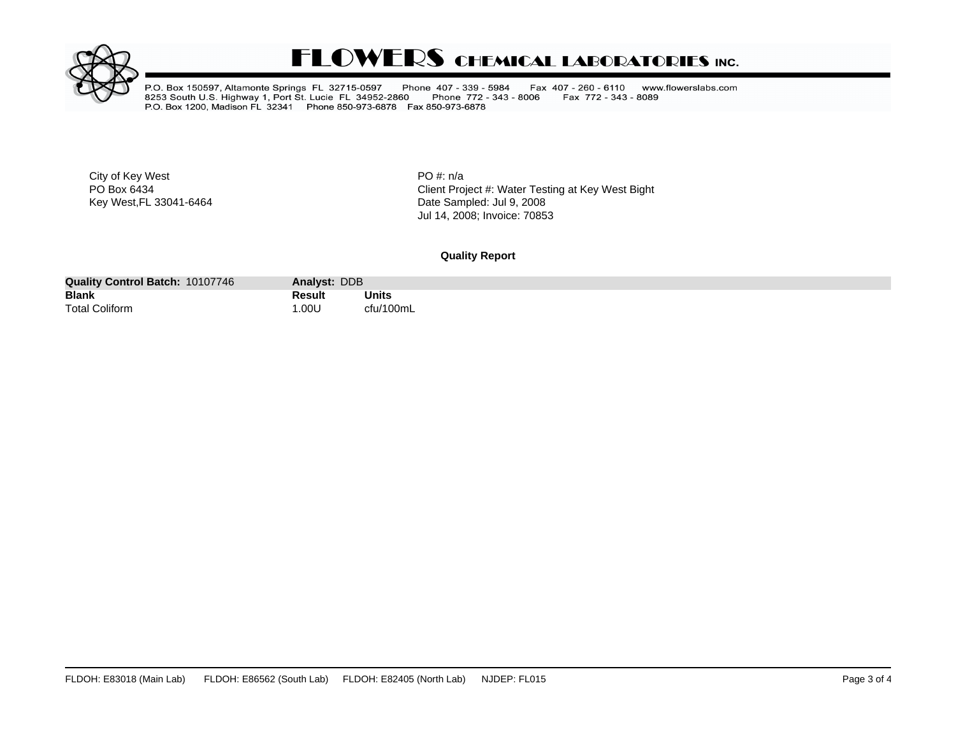

# **FLOWERS CHEMICAL LABORATORIES INC.**

P.O. Box 150597, Altamonte Springs FL 32715-0597 Phone 407 - 339 - 5984<br>8253 South U.S. Highway 1, Port St. Lucie FL 34952-2860 Phone 772 - 343<br>P.O. Box 1200, Madison FL 32341 Phone 850-973-6878 Fax 850-973-6878 Fax 407 - 260 - 6110 www.flowerslabs.com Fax 772 - 343 - 8089 Phone 772 - 343 - 8006

City of Key West **PO** #: n/a

PO Box 6434<br>
Rey West, FL 33041-6464<br>
Key West, FL 33041-6464<br>
Client Project #: Water Testing at Key West Bight<br>
Date Sampled: Jul 9, 2008 Date Sampled: Jul 9, 2008 Jul 14, 2008; Invoice: 70853

#### **Quality Report**

| 10107746<br><b>Quality Control Batch:</b> | Analyst: DDB |           |
|-------------------------------------------|--------------|-----------|
| <b>Blank</b>                              | Result       | Units     |
|                                           |              | $ -$      |
| <b>Total Coliform</b>                     | .00U         | $'$ 100mL |
|                                           |              |           |